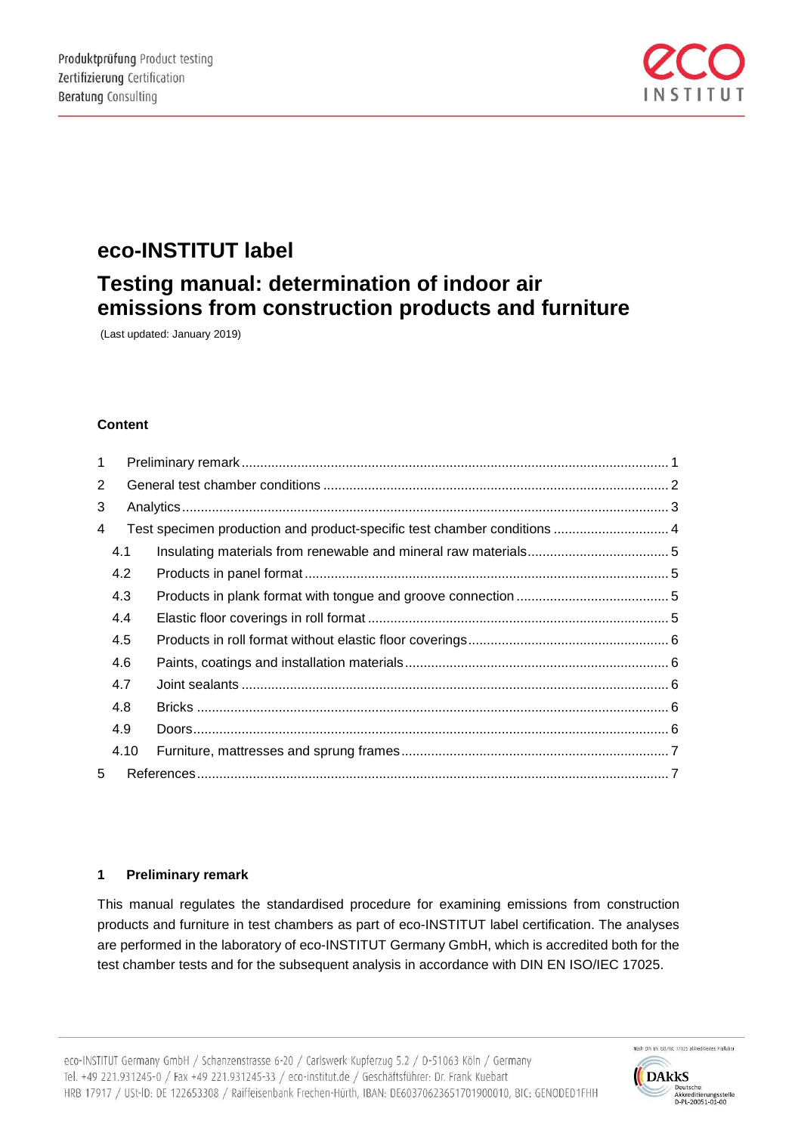

## **eco-INSTITUT label**

# **Testing manual: determination of indoor air emissions from construction products and furniture**

(Last updated: January 2019)

## **Content**

| $\mathbf{1}$   |                                                                          |  |  |  |  |  |  |
|----------------|--------------------------------------------------------------------------|--|--|--|--|--|--|
| $\overline{2}$ |                                                                          |  |  |  |  |  |  |
| 3              |                                                                          |  |  |  |  |  |  |
| 4              | Test specimen production and product-specific test chamber conditions  4 |  |  |  |  |  |  |
|                | 4.1                                                                      |  |  |  |  |  |  |
|                | 4.2                                                                      |  |  |  |  |  |  |
|                | 4.3                                                                      |  |  |  |  |  |  |
|                | 4.4                                                                      |  |  |  |  |  |  |
|                | 4.5                                                                      |  |  |  |  |  |  |
|                | 4.6                                                                      |  |  |  |  |  |  |
|                | 4.7                                                                      |  |  |  |  |  |  |
|                | 4.8                                                                      |  |  |  |  |  |  |
|                | 4.9                                                                      |  |  |  |  |  |  |
|                | 4.10                                                                     |  |  |  |  |  |  |
| 5              |                                                                          |  |  |  |  |  |  |

## **1 Preliminary remark**

This manual regulates the standardised procedure for examining emissions from construction products and furniture in test chambers as part of eco-INSTITUT label certification. The analyses are performed in the laboratory of eco-INSTITUT Germany GmbH, which is accredited both for the test chamber tests and for the subsequent analysis in accordance with DIN EN ISO/IEC 17025.

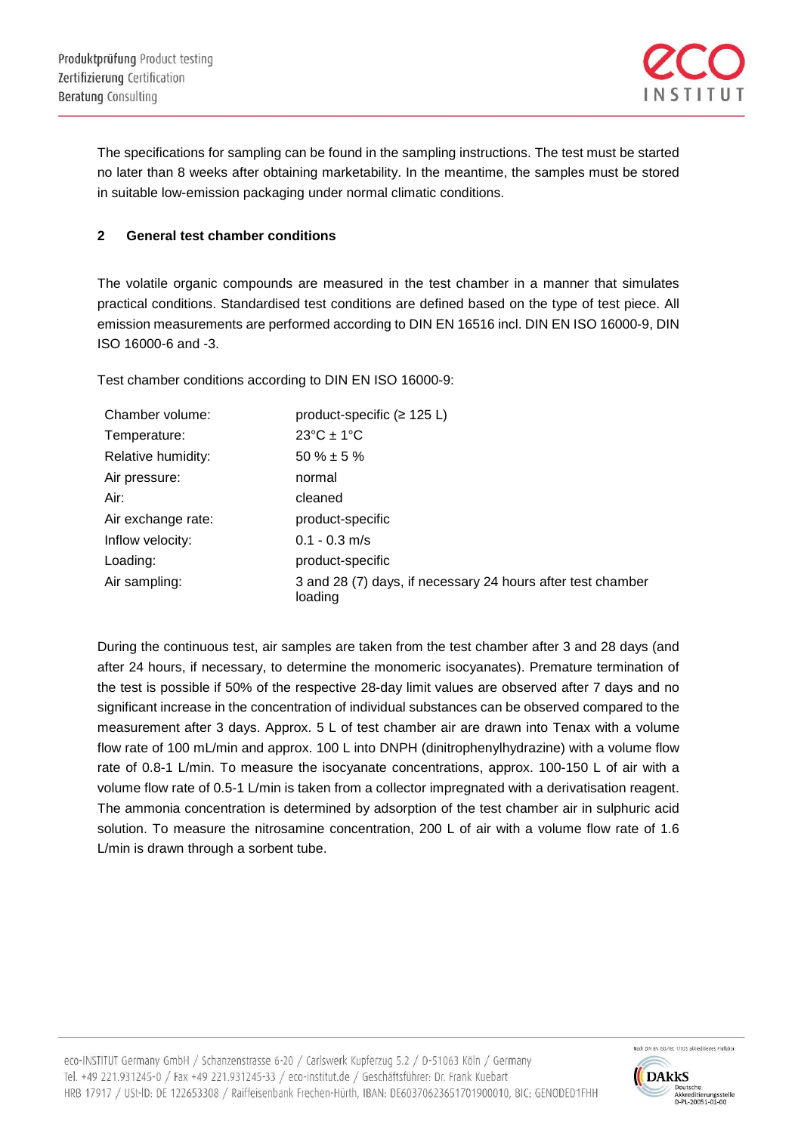

The specifications for sampling can be found in the sampling instructions. The test must be started no later than 8 weeks after obtaining marketability. In the meantime, the samples must be stored in suitable low-emission packaging under normal climatic conditions.

## **2 General test chamber conditions**

The volatile organic compounds are measured in the test chamber in a manner that simulates practical conditions. Standardised test conditions are defined based on the type of test piece. All emission measurements are performed according to DIN EN 16516 incl. DIN EN ISO 16000-9, DIN ISO 16000-6 and -3.

Test chamber conditions according to DIN EN ISO 16000-9:

| Chamber volume:    | product-specific ( $\geq$ 125 L)                                       |
|--------------------|------------------------------------------------------------------------|
| Temperature:       | $23^{\circ}$ C ± 1 $^{\circ}$ C                                        |
| Relative humidity: | $50 \% \pm 5 \%$                                                       |
| Air pressure:      | normal                                                                 |
| Air:               | cleaned                                                                |
| Air exchange rate: | product-specific                                                       |
| Inflow velocity:   | $0.1 - 0.3$ m/s                                                        |
| Loading:           | product-specific                                                       |
| Air sampling:      | 3 and 28 (7) days, if necessary 24 hours after test chamber<br>loading |

During the continuous test, air samples are taken from the test chamber after 3 and 28 days (and after 24 hours, if necessary, to determine the monomeric isocyanates). Premature termination of the test is possible if 50% of the respective 28-day limit values are observed after 7 days and no significant increase in the concentration of individual substances can be observed compared to the measurement after 3 days. Approx. 5 L of test chamber air are drawn into Tenax with a volume flow rate of 100 mL/min and approx. 100 L into DNPH (dinitrophenylhydrazine) with a volume flow rate of 0.8-1 L/min. To measure the isocyanate concentrations, approx. 100-150 L of air with a volume flow rate of 0.5-1 L/min is taken from a collector impregnated with a derivatisation reagent. The ammonia concentration is determined by adsorption of the test chamber air in sulphuric acid solution. To measure the nitrosamine concentration, 200 L of air with a volume flow rate of 1.6 L/min is drawn through a sorbent tube.

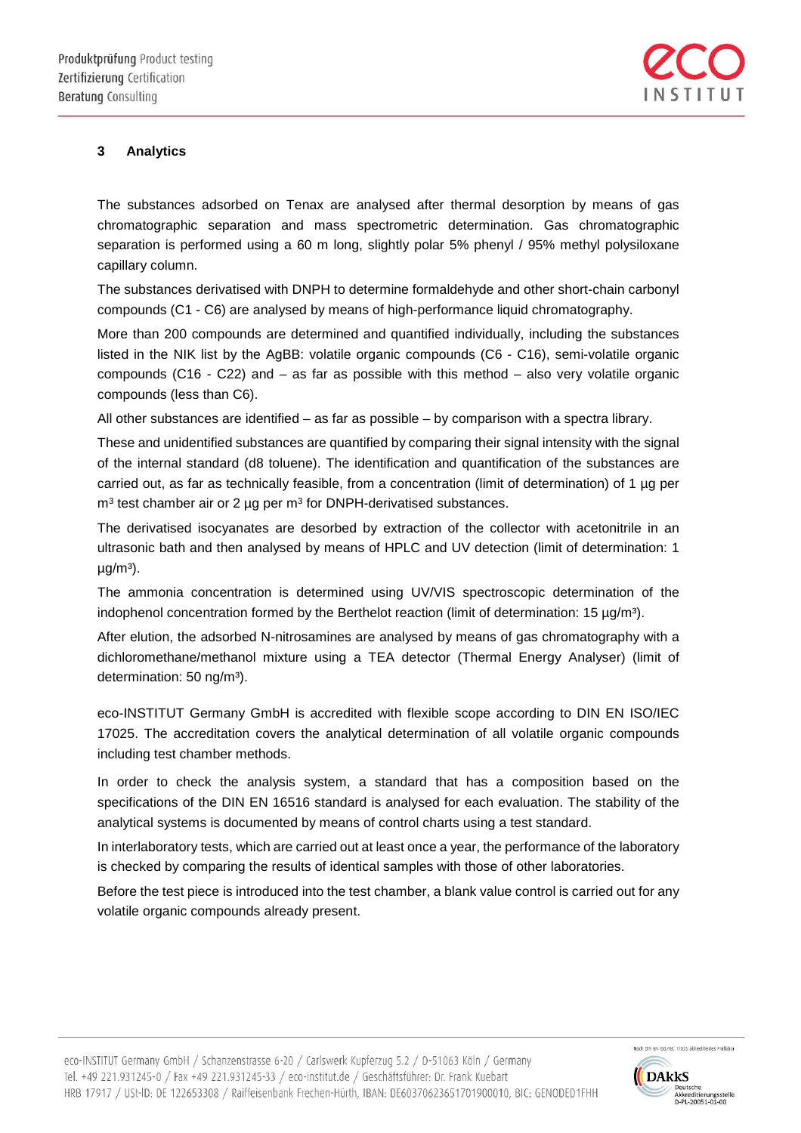

## **3 Analytics**

The substances adsorbed on Tenax are analysed after thermal desorption by means of gas chromatographic separation and mass spectrometric determination. Gas chromatographic separation is performed using a 60 m long, slightly polar 5% phenyl / 95% methyl polysiloxane capillary column.

The substances derivatised with DNPH to determine formaldehyde and other short-chain carbonyl compounds (C1 - C6) are analysed by means of high-performance liquid chromatography.

More than 200 compounds are determined and quantified individually, including the substances listed in the NIK list by the AgBB: volatile organic compounds (C6 - C16), semi-volatile organic compounds (C16 - C22) and – as far as possible with this method – also very volatile organic compounds (less than C6).

All other substances are identified – as far as possible – by comparison with a spectra library.

These and unidentified substances are quantified by comparing their signal intensity with the signal of the internal standard (d8 toluene). The identification and quantification of the substances are carried out, as far as technically feasible, from a concentration (limit of determination) of 1 µg per  $m<sup>3</sup>$  test chamber air or 2 µg per  $m<sup>3</sup>$  for DNPH-derivatised substances.

The derivatised isocyanates are desorbed by extraction of the collector with acetonitrile in an ultrasonic bath and then analysed by means of HPLC and UV detection (limit of determination: 1  $\mu$ g/m<sup>3</sup>).

The ammonia concentration is determined using UV/VIS spectroscopic determination of the indophenol concentration formed by the Berthelot reaction (limit of determination: 15  $\mu$ g/m<sup>3</sup>).

After elution, the adsorbed N-nitrosamines are analysed by means of gas chromatography with a dichloromethane/methanol mixture using a TEA detector (Thermal Energy Analyser) (limit of determination: 50 ng/m<sup>3</sup>).

eco-INSTITUT Germany GmbH is accredited with flexible scope according to DIN EN ISO/IEC 17025. The accreditation covers the analytical determination of all volatile organic compounds including test chamber methods.

In order to check the analysis system, a standard that has a composition based on the specifications of the DIN EN 16516 standard is analysed for each evaluation. The stability of the analytical systems is documented by means of control charts using a test standard.

In interlaboratory tests, which are carried out at least once a year, the performance of the laboratory is checked by comparing the results of identical samples with those of other laboratories.

Before the test piece is introduced into the test chamber, a blank value control is carried out for any volatile organic compounds already present.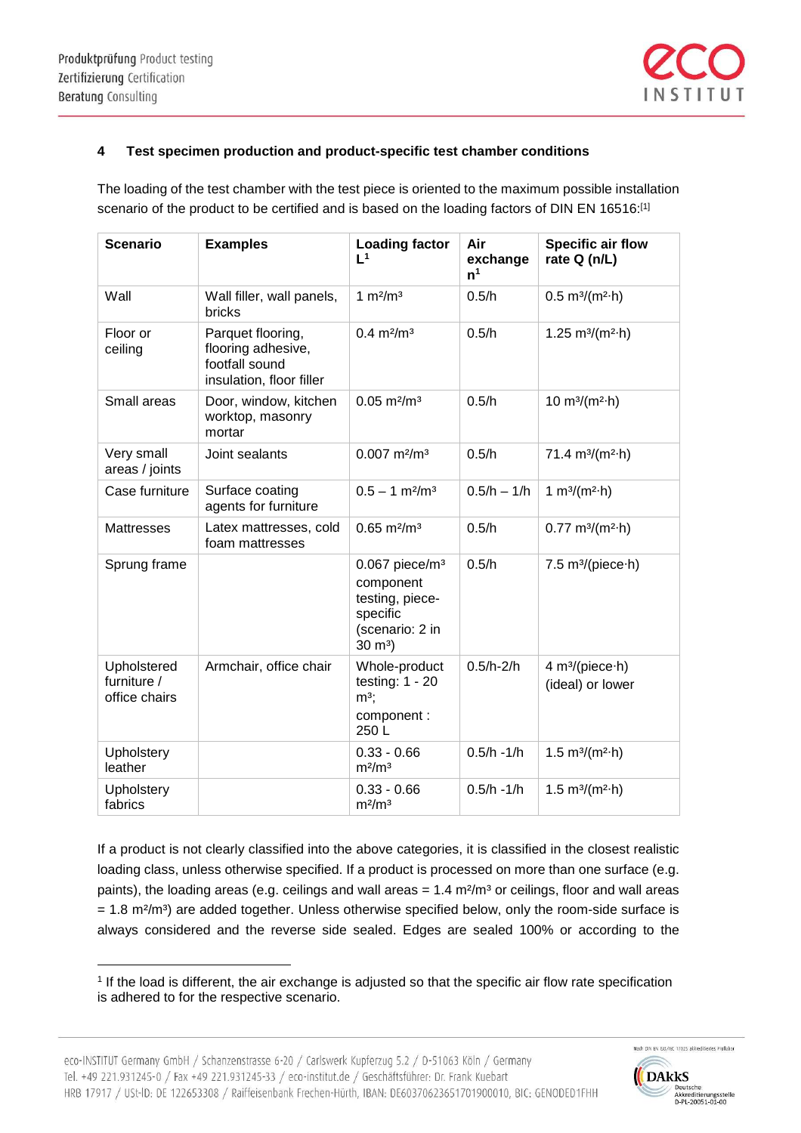$\overline{a}$ 



## **4 Test specimen production and product-specific test chamber conditions**

The loading of the test chamber with the test piece is oriented to the maximum possible installation scenario of the product to be certified and is based on the loading factors of DIN EN 16516:<sup>[1]</sup>

| <b>Scenario</b>                             | <b>Examples</b>                                                                       | <b>Loading factor</b><br>L <sup>1</sup>                                                                           | Air<br>exchange<br>n <sup>1</sup> | <b>Specific air flow</b><br>rate Q (n/L)        |
|---------------------------------------------|---------------------------------------------------------------------------------------|-------------------------------------------------------------------------------------------------------------------|-----------------------------------|-------------------------------------------------|
| Wall                                        | Wall filler, wall panels,<br>bricks                                                   | 1 $m2/m3$                                                                                                         | 0.5/h                             | 0.5 m <sup>3</sup> /(m <sup>2</sup> ·h)         |
| Floor or<br>ceiling                         | Parquet flooring,<br>flooring adhesive,<br>footfall sound<br>insulation, floor filler | $0.4 \text{ m}^2/\text{m}^3$                                                                                      | 0.5/h                             | 1.25 $m^3/(m^2 \cdot h)$                        |
| Small areas                                 | Door, window, kitchen<br>worktop, masonry<br>mortar                                   | $0.05 \text{ m}^2/\text{m}^3$                                                                                     | 0.5/h                             | 10 $m^{3}/(m^{2} \cdot h)$                      |
| Very small<br>areas / joints                | Joint sealants                                                                        | $0.007$ m <sup>2</sup> /m <sup>3</sup>                                                                            | 0.5/h                             | 71.4 $m3/(m2·h)$                                |
| Case furniture                              | Surface coating<br>agents for furniture                                               | $0.5 - 1$ m <sup>2</sup> /m <sup>3</sup>                                                                          | $0.5/h - 1/h$                     | 1 $m^3/(m^2 \cdot h)$                           |
| <b>Mattresses</b>                           | Latex mattresses, cold<br>foam mattresses                                             | $0.65 \text{ m}^2/\text{m}^3$                                                                                     | 0.5/h                             | $0.77 \text{ m}^3/(m^2 \cdot h)$                |
| Sprung frame                                |                                                                                       | $0.067$ piece/m <sup>3</sup><br>component<br>testing, piece-<br>specific<br>(scenario: 2 in<br>$30 \; \text{m}^3$ | 0.5/h                             | 7.5 $m^3/(piece \cdot h)$                       |
| Upholstered<br>furniture /<br>office chairs | Armchair, office chair                                                                | Whole-product<br>testing: $1 - 20$<br>$m^3$ ;<br>component :<br>250L                                              | $0.5/h - 2/h$                     | 4 m <sup>3</sup> /(piece·h)<br>(ideal) or lower |
| <b>Upholstery</b><br>leather                |                                                                                       | $0.33 - 0.66$<br>m <sup>2</sup> /m <sup>3</sup>                                                                   | $0.5/h - 1/h$                     | 1.5 $m^{3}/(m^{2} \cdot h)$                     |
| Upholstery<br>fabrics                       |                                                                                       | $0.33 - 0.66$<br>m <sup>2</sup> /m <sup>3</sup>                                                                   | $0.5/h - 1/h$                     | 1.5 $m^{3}/(m^{2} \cdot h)$                     |

If a product is not clearly classified into the above categories, it is classified in the closest realistic loading class, unless otherwise specified. If a product is processed on more than one surface (e.g. paints), the loading areas (e.g. ceilings and wall areas =  $1.4 \text{ m}^2/\text{m}^3$  or ceilings, floor and wall areas  $= 1.8$  m<sup>2</sup>/m<sup>3</sup>) are added together. Unless otherwise specified below, only the room-side surface is always considered and the reverse side sealed. Edges are sealed 100% or according to the



<sup>1</sup> If the load is different, the air exchange is adjusted so that the specific air flow rate specification is adhered to for the respective scenario.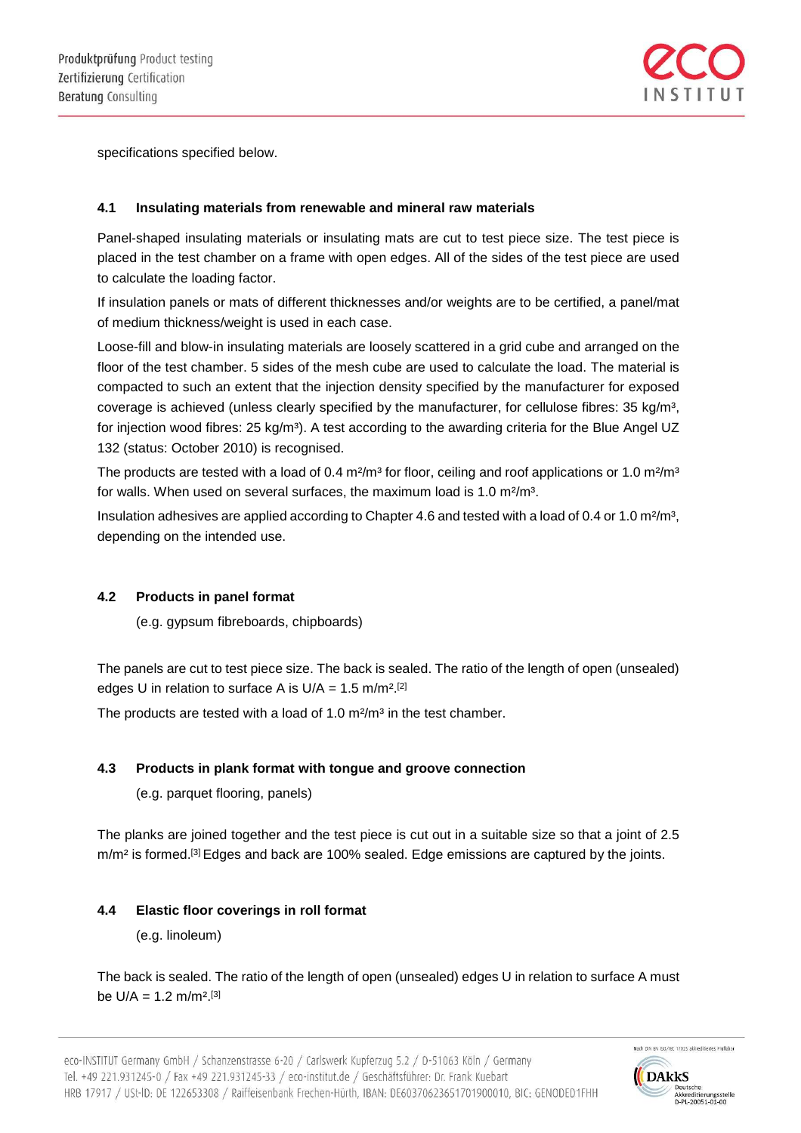

specifications specified below.

## **4.1 Insulating materials from renewable and mineral raw materials**

Panel-shaped insulating materials or insulating mats are cut to test piece size. The test piece is placed in the test chamber on a frame with open edges. All of the sides of the test piece are used to calculate the loading factor.

If insulation panels or mats of different thicknesses and/or weights are to be certified, a panel/mat of medium thickness/weight is used in each case.

Loose-fill and blow-in insulating materials are loosely scattered in a grid cube and arranged on the floor of the test chamber. 5 sides of the mesh cube are used to calculate the load. The material is compacted to such an extent that the injection density specified by the manufacturer for exposed coverage is achieved (unless clearly specified by the manufacturer, for cellulose fibres: 35 kg/m<sup>3</sup>, for injection wood fibres: 25 kg/m<sup>3</sup>). A test according to the awarding criteria for the Blue Angel UZ 132 (status: October 2010) is recognised.

The products are tested with a load of 0.4 m<sup>2</sup>/m<sup>3</sup> for floor, ceiling and roof applications or 1.0 m<sup>2</sup>/m<sup>3</sup> for walls. When used on several surfaces, the maximum load is 1.0 m<sup>2</sup>/m<sup>3</sup>.

Insulation adhesives are applied according to Chapter 4.6 and tested with a load of 0.4 or 1.0 m<sup>2</sup>/m<sup>3</sup>, depending on the intended use.

#### **4.2 Products in panel format**

(e.g. gypsum fibreboards, chipboards)

The panels are cut to test piece size. The back is sealed. The ratio of the length of open (unsealed) edges U in relation to surface A is  $U/A = 1.5$  m/m<sup>2[2]</sup>

The products are tested with a load of 1.0  $m<sup>2</sup>/m<sup>3</sup>$  in the test chamber.

## **4.3 Products in plank format with tongue and groove connection**

(e.g. parquet flooring, panels)

The planks are joined together and the test piece is cut out in a suitable size so that a joint of 2.5 m/m<sup>2</sup> is formed.<sup>[3]</sup> Edges and back are 100% sealed. Edge emissions are captured by the joints.

#### **4.4 Elastic floor coverings in roll format**

(e.g. linoleum)

The back is sealed. The ratio of the length of open (unsealed) edges U in relation to surface A must be  $U/A = 1.2$  m/m<sup>2[3]</sup>



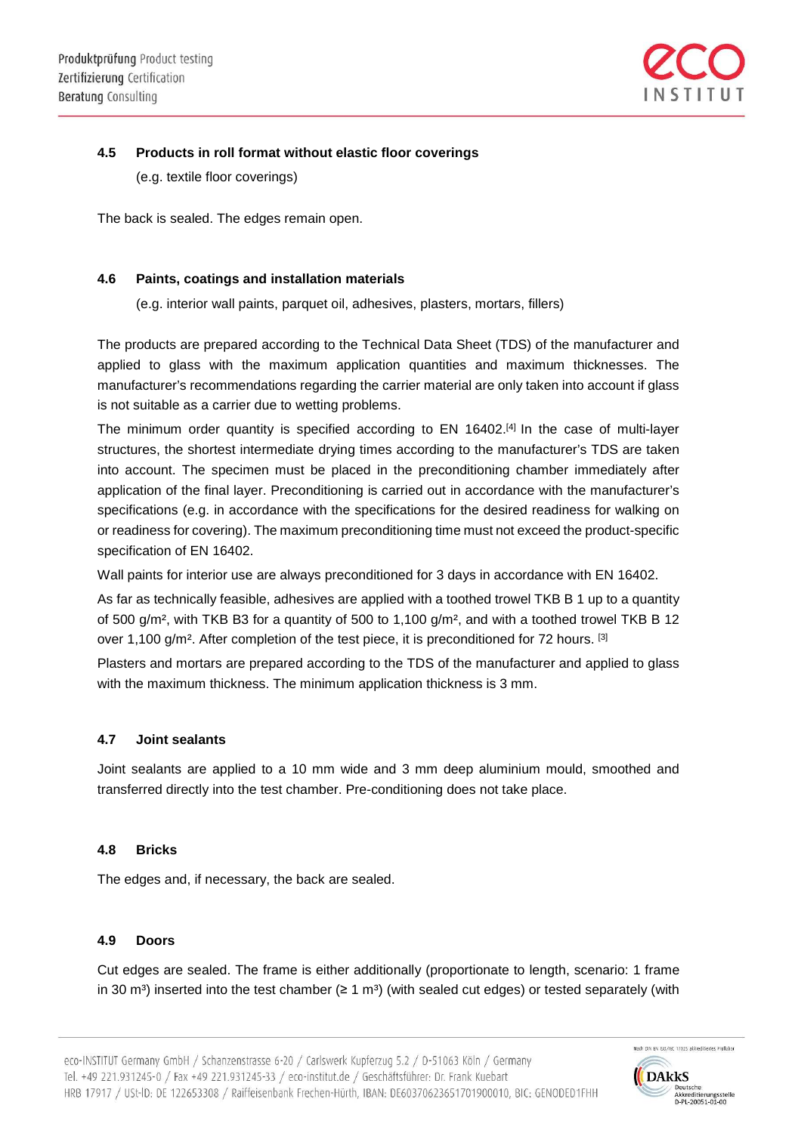

## **4.5 Products in roll format without elastic floor coverings**

(e.g. textile floor coverings)

The back is sealed. The edges remain open.

#### **4.6 Paints, coatings and installation materials**

(e.g. interior wall paints, parquet oil, adhesives, plasters, mortars, fillers)

The products are prepared according to the Technical Data Sheet (TDS) of the manufacturer and applied to glass with the maximum application quantities and maximum thicknesses. The manufacturer's recommendations regarding the carrier material are only taken into account if glass is not suitable as a carrier due to wetting problems.

The minimum order quantity is specified according to EN 16402.<sup>[4]</sup> In the case of multi-layer structures, the shortest intermediate drying times according to the manufacturer's TDS are taken into account. The specimen must be placed in the preconditioning chamber immediately after application of the final layer. Preconditioning is carried out in accordance with the manufacturer's specifications (e.g. in accordance with the specifications for the desired readiness for walking on or readiness for covering). The maximum preconditioning time must not exceed the product-specific specification of EN 16402.

Wall paints for interior use are always preconditioned for 3 days in accordance with EN 16402.

As far as technically feasible, adhesives are applied with a toothed trowel TKB B 1 up to a quantity of 500 g/m<sup>2</sup>, with TKB B3 for a quantity of 500 to 1,100 g/m<sup>2</sup>, and with a toothed trowel TKB B 12 over 1,100 g/m<sup>2</sup>. After completion of the test piece, it is preconditioned for 72 hours. [3]

Plasters and mortars are prepared according to the TDS of the manufacturer and applied to glass with the maximum thickness. The minimum application thickness is 3 mm.

#### **4.7 Joint sealants**

Joint sealants are applied to a 10 mm wide and 3 mm deep aluminium mould, smoothed and transferred directly into the test chamber. Pre-conditioning does not take place.

#### **4.8 Bricks**

The edges and, if necessary, the back are sealed.

#### **4.9 Doors**

Cut edges are sealed. The frame is either additionally (proportionate to length, scenario: 1 frame in 30 m<sup>3</sup>) inserted into the test chamber ( $\geq 1$  m<sup>3</sup>) (with sealed cut edges) or tested separately (with